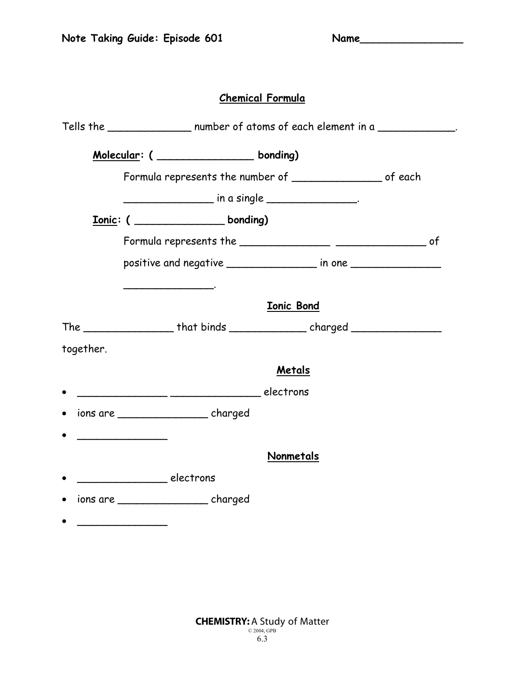## **Chemical Formula**

|           | Tells the __________________ number of atoms of each element in a                |                   |  |  |  |
|-----------|----------------------------------------------------------------------------------|-------------------|--|--|--|
|           | Molecular: ( _______________ bonding)                                            |                   |  |  |  |
|           | Formula represents the number of _________________ of each                       |                   |  |  |  |
|           |                                                                                  |                   |  |  |  |
|           | Lonic: ( Lonic: ( Lonician Londing)                                              |                   |  |  |  |
|           |                                                                                  |                   |  |  |  |
|           |                                                                                  |                   |  |  |  |
|           | the control of the control of the control of the control of                      |                   |  |  |  |
|           |                                                                                  | <b>Ionic Bond</b> |  |  |  |
|           | The ___________________that binds __________________charged ____________________ |                   |  |  |  |
| together. |                                                                                  |                   |  |  |  |
|           |                                                                                  | Metals            |  |  |  |
|           | electrons electrons                                                              |                   |  |  |  |
|           | ions are _______________________ charged                                         |                   |  |  |  |
|           |                                                                                  |                   |  |  |  |
|           |                                                                                  | Nonmetals         |  |  |  |
|           |                                                                                  |                   |  |  |  |
|           | ions are _______________________ charged                                         |                   |  |  |  |
|           |                                                                                  |                   |  |  |  |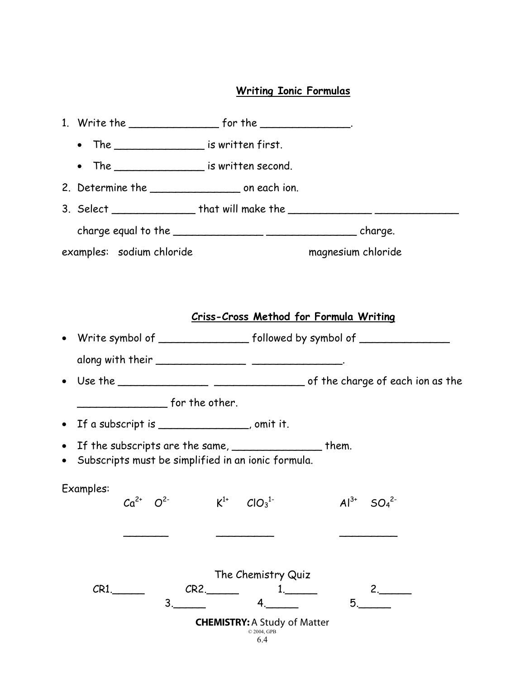## **Writing Ionic Formulas**

|           | The $\sqrt{a}$ is written first.<br>$\bullet$                                                                  |                                                                                         |                                           |
|-----------|----------------------------------------------------------------------------------------------------------------|-----------------------------------------------------------------------------------------|-------------------------------------------|
|           | The ______________________ is written second.<br>$\bullet$                                                     |                                                                                         |                                           |
|           | 2. Determine the _______________________ on each ion.                                                          |                                                                                         |                                           |
|           | 3. Select __________________ that will make the ________________________________                               |                                                                                         |                                           |
|           |                                                                                                                |                                                                                         |                                           |
|           | examples: sodium chloride                                                                                      |                                                                                         | magnesium chloride                        |
|           |                                                                                                                |                                                                                         |                                           |
|           |                                                                                                                |                                                                                         |                                           |
|           |                                                                                                                | Criss-Cross Method for Formula Writing                                                  |                                           |
|           | Write symbol of ____________________ followed by symbol of _____________________                               |                                                                                         |                                           |
|           |                                                                                                                |                                                                                         |                                           |
|           |                                                                                                                |                                                                                         |                                           |
|           | $f$ or the other.                                                                                              |                                                                                         |                                           |
| $\bullet$ | If a subscript is _______________, omit it.                                                                    |                                                                                         |                                           |
|           | If the subscripts are the same, __________________ them.<br>Subscripts must be simplified in an ionic formula. |                                                                                         |                                           |
|           | Examples:<br>O <sup>2</sup><br>$Ca^{2+}$                                                                       | $K^{1+}$ $ClO_3^{1-}$                                                                   | $Al^{3+}$<br>SO <sub>4</sub> <sup>2</sup> |
|           |                                                                                                                |                                                                                         |                                           |
|           | $CR1$ .<br>$3_{-}$                                                                                             | The Chemistry Quiz<br>CR2.<br><b>CHEMISTRY: A Study of Matter</b><br>© 2004, GPB<br>6.4 | $2 \sim$<br>5.                            |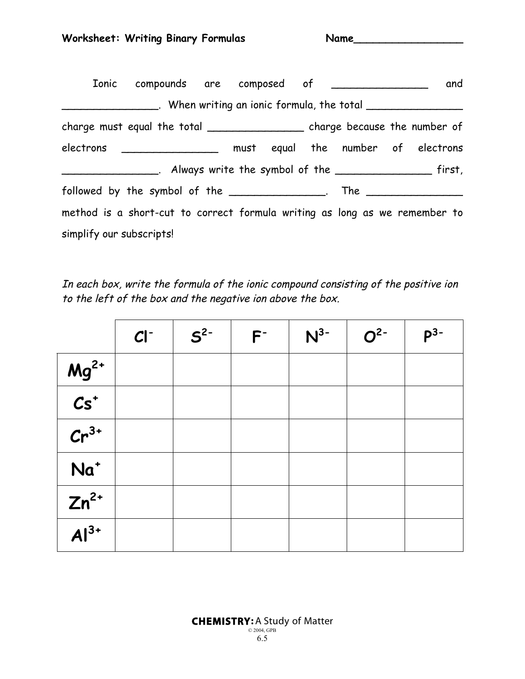|                          | Ionic compounds are composed of _______________                                  |  |  |  | and                                                               |
|--------------------------|----------------------------------------------------------------------------------|--|--|--|-------------------------------------------------------------------|
|                          |                                                                                  |  |  |  | ___. When writing an ionic formula, the total ___________________ |
|                          | charge must equal the total ____________________ charge because the number of    |  |  |  |                                                                   |
|                          | electrons __________________ must equal the number of electrons                  |  |  |  |                                                                   |
|                          |                                                                                  |  |  |  |                                                                   |
|                          | followed by the symbol of the _______________. The _____________________________ |  |  |  |                                                                   |
|                          | method is a short-cut to correct formula writing as long as we remember to       |  |  |  |                                                                   |
| simplify our subscripts! |                                                                                  |  |  |  |                                                                   |

In each box, write the formula of the ionic compound consisting of the positive ion to the left of the box and the negative ion above the box.

|                          | $CI^-$ | $S^2$ | $F^-$ | $N^{3-}$ | $O2-$ | $P^3-$ |
|--------------------------|--------|-------|-------|----------|-------|--------|
|                          |        |       |       |          |       |        |
| $\frac{Mg^{2+}}{Cs^{+}}$ |        |       |       |          |       |        |
| $Cr^{3+}$                |        |       |       |          |       |        |
| $Na+$                    |        |       |       |          |       |        |
| $Zn^{2+}$                |        |       |       |          |       |        |
| $Al^{3+}$                |        |       |       |          |       |        |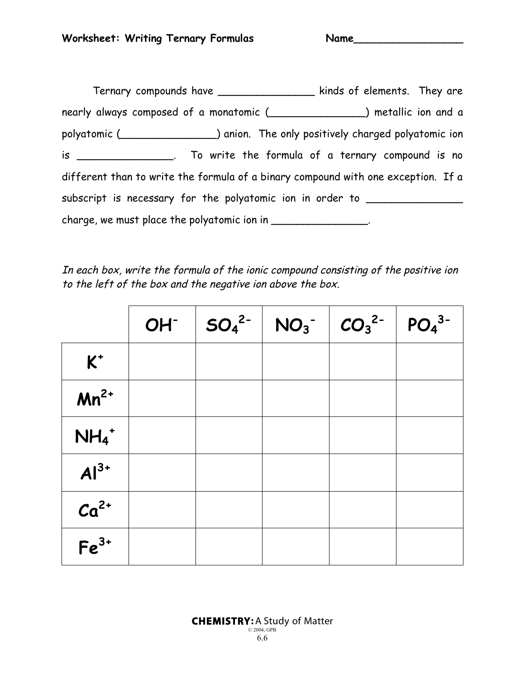| Ternary compounds have __________________                                               | kinds of elements. They are |
|-----------------------------------------------------------------------------------------|-----------------------------|
|                                                                                         |                             |
| polyatomic ( solvestimate numeric contact in the only positively charged polyatomic ion |                             |
| is ________________. To write the formula of a ternary compound is no                   |                             |
| different than to write the formula of a binary compound with one exception. If a       |                             |
| subscript is necessary for the polyatomic ion in order to ______________________        |                             |
| charge, we must place the polyatomic ion in _________________.                          |                             |

In each box, write the formula of the ionic compound consisting of the positive ion to the left of the box and the negative ion above the box.

|                     | $OH^ SO_4^2^-$ | $NO_3^ CO_3^2^-$ | PO <sub>4</sub> <sup>3</sup> |
|---------------------|----------------|------------------|------------------------------|
| $K^+$               |                |                  |                              |
| $Mn^{2+}$           |                |                  |                              |
| $NH_4$ <sup>+</sup> |                |                  |                              |
| $Al^{3+}$           |                |                  |                              |
| $Ca2+$              |                |                  |                              |
| $Fe3+$              |                |                  |                              |